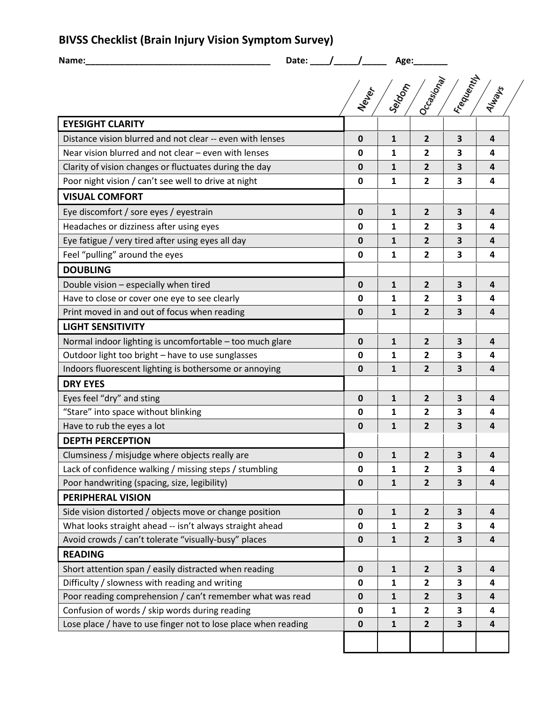**BIVSS Checklist (Brain Injury Vision Symptom Survey)**

| Name:                                                          | Date: $\angle$ |                     | Age:         |                                                  |                         |   |
|----------------------------------------------------------------|----------------|---------------------|--------------|--------------------------------------------------|-------------------------|---|
|                                                                |                | Neu <sub>letr</sub> | Sergen       | <b>Frequently</b><br>Occasional<br><b>Always</b> |                         |   |
| <b>EYESIGHT CLARITY</b>                                        |                |                     |              |                                                  |                         |   |
| Distance vision blurred and not clear -- even with lenses      |                | 0                   | $\mathbf{1}$ | $\overline{2}$                                   | 3                       | 4 |
| Near vision blurred and not clear - even with lenses           |                | 0                   | 1            | $\mathbf{2}$                                     | 3                       | 4 |
| Clarity of vision changes or fluctuates during the day         |                | 0                   | 1            | $\overline{2}$                                   | 3                       | 4 |
| Poor night vision / can't see well to drive at night           |                | 0                   | 1            | $\overline{2}$                                   | 3                       | 4 |
| <b>VISUAL COMFORT</b>                                          |                |                     |              |                                                  |                         |   |
| Eye discomfort / sore eyes / eyestrain                         |                | 0                   | 1            | $\overline{2}$                                   | $\overline{\mathbf{3}}$ | 4 |
| Headaches or dizziness after using eyes                        |                | 0                   | 1            | $\overline{2}$                                   | 3                       | 4 |
| Eye fatigue / very tired after using eyes all day              |                | 0                   | $\mathbf{1}$ | $\overline{2}$                                   | 3                       | 4 |
| Feel "pulling" around the eyes                                 |                | 0                   | 1            | $\overline{2}$                                   | 3                       | 4 |
| <b>DOUBLING</b>                                                |                |                     |              |                                                  |                         |   |
| Double vision - especially when tired                          |                | 0                   | 1            | $\overline{2}$                                   | 3                       | 4 |
| Have to close or cover one eye to see clearly                  |                | 0                   | 1            | $\overline{2}$                                   | 3                       | 4 |
| Print moved in and out of focus when reading                   |                | 0                   | 1            | $\overline{2}$                                   | 3                       | 4 |
| <b>LIGHT SENSITIVITY</b>                                       |                |                     |              |                                                  |                         |   |
| Normal indoor lighting is uncomfortable - too much glare       |                | 0                   | 1            | $\overline{2}$                                   | 3                       | 4 |
| Outdoor light too bright - have to use sunglasses              |                | 0                   | 1            | $\mathbf{2}$                                     | 3                       | 4 |
| Indoors fluorescent lighting is bothersome or annoying         |                | 0                   | $\mathbf{1}$ | $\overline{2}$                                   | $\overline{\mathbf{3}}$ | 4 |
| <b>DRY EYES</b>                                                |                |                     |              |                                                  |                         |   |
| Eyes feel "dry" and sting                                      |                | 0                   | 1            | $\overline{2}$                                   | 3                       | 4 |
| "Stare" into space without blinking                            |                | 0                   | 1            | $\overline{2}$                                   | 3                       | 4 |
| Have to rub the eyes a lot                                     |                | 0                   | 1            | $\overline{2}$                                   | 3                       | 4 |
| <b>DEPTH PERCEPTION</b>                                        |                |                     |              |                                                  |                         |   |
| Clumsiness / misjudge where objects really are                 |                | 0                   | 1            | 2                                                | 3                       | 4 |
| Lack of confidence walking / missing steps / stumbling         |                | 0                   | 1            | $\overline{2}$                                   | 3                       | 4 |
| Poor handwriting (spacing, size, legibility)                   |                | 0                   | 1            | $\overline{2}$                                   | 3                       | 4 |
| <b>PERIPHERAL VISION</b>                                       |                |                     |              |                                                  |                         |   |
| Side vision distorted / objects move or change position        |                | $\mathbf 0$         | $\mathbf{1}$ | $\overline{2}$                                   | $\overline{\mathbf{3}}$ | 4 |
| What looks straight ahead -- isn't always straight ahead       |                | 0                   | 1            | $\overline{2}$                                   | 3                       | 4 |
| Avoid crowds / can't tolerate "visually-busy" places           |                | 0                   | $\mathbf{1}$ | $\overline{2}$                                   | 3                       | 4 |
| <b>READING</b>                                                 |                |                     |              |                                                  |                         |   |
| Short attention span / easily distracted when reading          |                | 0                   | 1            | $\overline{2}$                                   | 3                       | 4 |
| Difficulty / slowness with reading and writing                 |                | 0                   | 1            | $\overline{2}$                                   | 3                       | 4 |
| Poor reading comprehension / can't remember what was read      |                | 0                   | 1            | $\overline{2}$                                   | 3                       | 4 |
| Confusion of words / skip words during reading                 |                | 0                   | 1            | $\overline{2}$                                   | 3                       | 4 |
| Lose place / have to use finger not to lose place when reading |                | $\mathbf 0$         | 1            | $\overline{2}$                                   | 3                       | 4 |
|                                                                |                |                     |              |                                                  |                         |   |